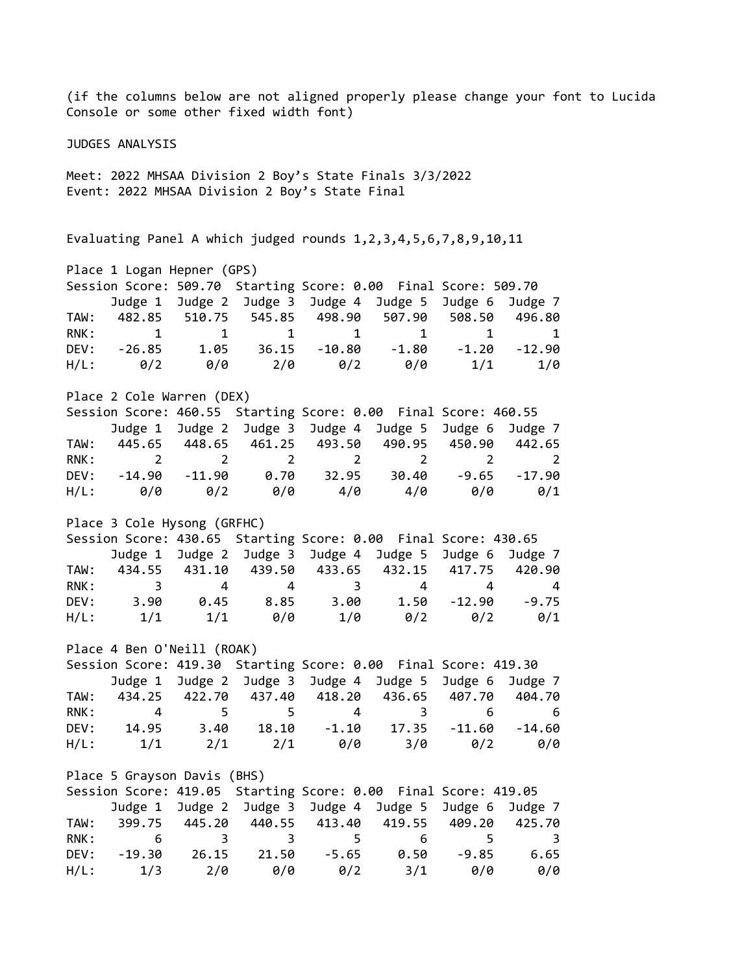(if the columns below are not aligned properly please change your font to Lucida Console or some other fixed width font) JUDGES ANALYSIS Meet: 2022 MHSAA Division 2 Boy's State Finals 3/3/2022 Event: 2022 MHSAA Division 2 Boy's State Final Evaluating Panel A which judged rounds 1,2,3,4,5,6,7,8,9,10,11 Place 1 Logan Hepner (GPS) Session Score: 509.70 Starting Score: 0.00 Final Score: 509.70 Judge 1 Judge 2 Judge 3 Judge 4 Judge 5 Judge 6 Judge 7 TAW: 482.85 510.75 545.85 498.90 507.90 508.50 496.80 RNK: 1 1 1 1 1 1 1 1 DEV: -26.85 1.05 36.15 -10.80 -1.80 -1.20 -12.90 H/L: 0/2 0/0 2/0 0/2 0/0 1/1 1/0 Place 2 Cole Warren (DEX) Session Score: 460.55 Starting Score: 0.00 Final Score: 460.55 Judge 1 Judge 2 Judge 3 Judge 4 Judge 5 Judge 6 Judge 7 TAW: 445.65 448.65 461.25 493.50 490.95 450.90 442.65 RNK: 2 2 2 2 2 2 2 DEV: -14.90 -11.90 0.70 32.95 30.40 -9.65 -17.90 H/L: 0/0 0/2 0/0 4/0 4/0 0/0 0/1 Place 3 Cole Hysong (GRFHC) Session Score: 430.65 Starting Score: 0.00 Final Score: 430.65 Judge 1 Judge 2 Judge 3 Judge 4 Judge 5 Judge 6 Judge 7 TAW: 434.55 431.10 439.50 433.65 432.15 417.75 420.90 RNK: 3 4 4 3 4 4 4 DEV: 3.90 0.45 8.85 3.00 1.50 -12.90 -9.75 H/L: 1/1 1/1 0/0 1/0 0/2 0/2 0/1 Place 4 Ben O'Neill (ROAK) Session Score: 419.30 Starting Score: 0.00 Final Score: 419.30 Judge 1 Judge 2 Judge 3 Judge 4 Judge 5 Judge 6 Judge 7 TAW: 434.25 422.70 437.40 418.20 436.65 407.70 404.70 RNK: 4 5 5 4 3 6 6 DEV: 14.95 3.40 18.10 -1.10 17.35 -11.60 -14.60 H/L: 1/1 2/1 2/1 0/0 3/0 0/2 0/0 Place 5 Grayson Davis (BHS) Session Score: 419.05 Starting Score: 0.00 Final Score: 419.05 Judge 1 Judge 2 Judge 3 Judge 4 Judge 5 Judge 6 Judge 7 TAW: 399.75 445.20 440.55 413.40 419.55 409.20 425.70 RNK: 6 3 3 5 6 5 3 DEV: -19.30 26.15 21.50 -5.65 0.50 -9.85 6.65 H/L: 1/3 2/0 0/0 0/2 3/1 0/0 0/0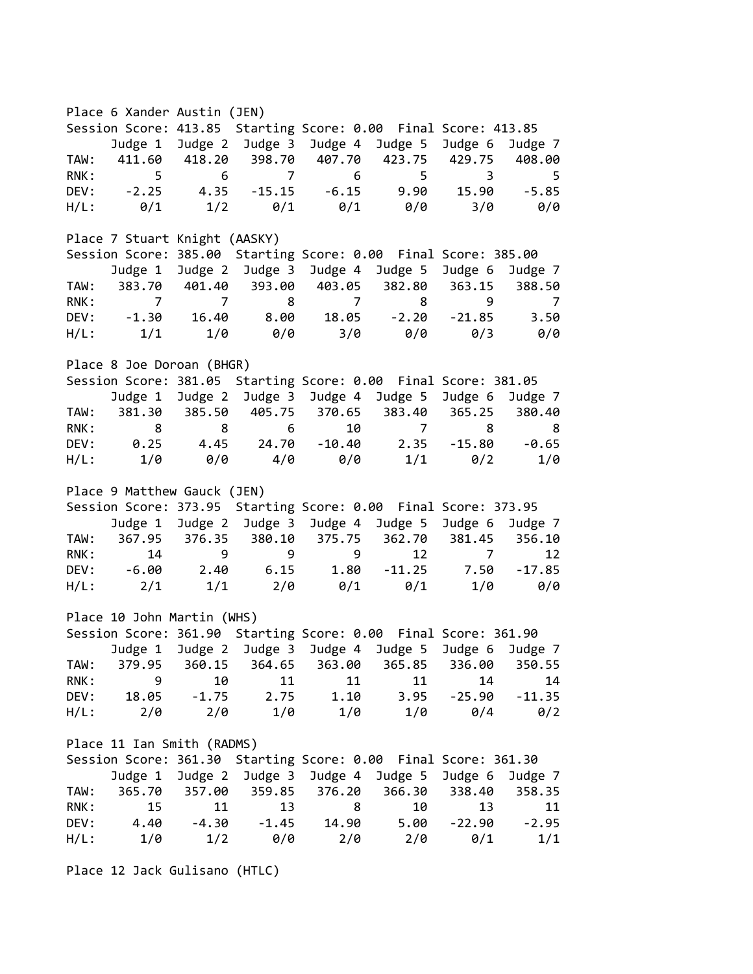Place 6 Xander Austin (JEN) Session Score: 413.85 Starting Score: 0.00 Final Score: 413.85 Judge 1 Judge 2 Judge 3 Judge 4 Judge 5 Judge 6 Judge 7 TAW: 411.60 418.20 398.70 407.70 423.75 429.75 408.00 RNK: 5 6 7 6 5 3 5 DEV: -2.25 4.35 -15.15 -6.15 9.90 15.90 -5.85 H/L: 0/1 1/2 0/1 0/1 0/0 3/0 0/0 Place 7 Stuart Knight (AASKY) Session Score: 385.00 Starting Score: 0.00 Final Score: 385.00 Judge 1 Judge 2 Judge 3 Judge 4 Judge 5 Judge 6 Judge 7 TAW: 383.70 401.40 393.00 403.05 382.80 363.15 388.50 RNK: 7 7 8 7 8 9 7 DEV: -1.30 16.40 8.00 18.05 -2.20 -21.85 3.50 H/L: 1/1 1/0 0/0 3/0 0/0 0/3 0/0 Place 8 Joe Doroan (BHGR) Session Score: 381.05 Starting Score: 0.00 Final Score: 381.05 Judge 1 Judge 2 Judge 3 Judge 4 Judge 5 Judge 6 Judge 7 TAW: 381.30 385.50 405.75 370.65 383.40 365.25 380.40 RNK: 8 8 6 10 7 8 8 DEV: 0.25 4.45 24.70 -10.40 2.35 -15.80 -0.65 H/L: 1/0 0/0 4/0 0/0 1/1 0/2 1/0 Place 9 Matthew Gauck (JEN) Session Score: 373.95 Starting Score: 0.00 Final Score: 373.95 Judge 1 Judge 2 Judge 3 Judge 4 Judge 5 Judge 6 Judge 7 TAW: 367.95 376.35 380.10 375.75 362.70 381.45 356.10 RNK: 14 9 9 9 12 7 12 DEV: -6.00 2.40 6.15 1.80 -11.25 7.50 -17.85 H/L: 2/1 1/1 2/0 0/1 0/1 1/0 0/0 Place 10 John Martin (WHS) Session Score: 361.90 Starting Score: 0.00 Final Score: 361.90 Judge 1 Judge 2 Judge 3 Judge 4 Judge 5 Judge 6 Judge 7 TAW: 379.95 360.15 364.65 363.00 365.85 336.00 350.55 RNK: 9 10 11 11 11 14 14 DEV: 18.05 -1.75 2.75 1.10 3.95 -25.90 -11.35 H/L: 2/0 2/0 1/0 1/0 1/0 0/4 0/2 Place 11 Ian Smith (RADMS) Session Score: 361.30 Starting Score: 0.00 Final Score: 361.30 Judge 1 Judge 2 Judge 3 Judge 4 Judge 5 Judge 6 Judge 7 TAW: 365.70 357.00 359.85 376.20 366.30 338.40 358.35 RNK: 15 11 13 8 10 13 11 DEV: 4.40 -4.30 -1.45 14.90 5.00 -22.90 -2.95 H/L: 1/0 1/2 0/0 2/0 2/0 0/1 1/1

Place 12 Jack Gulisano (HTLC)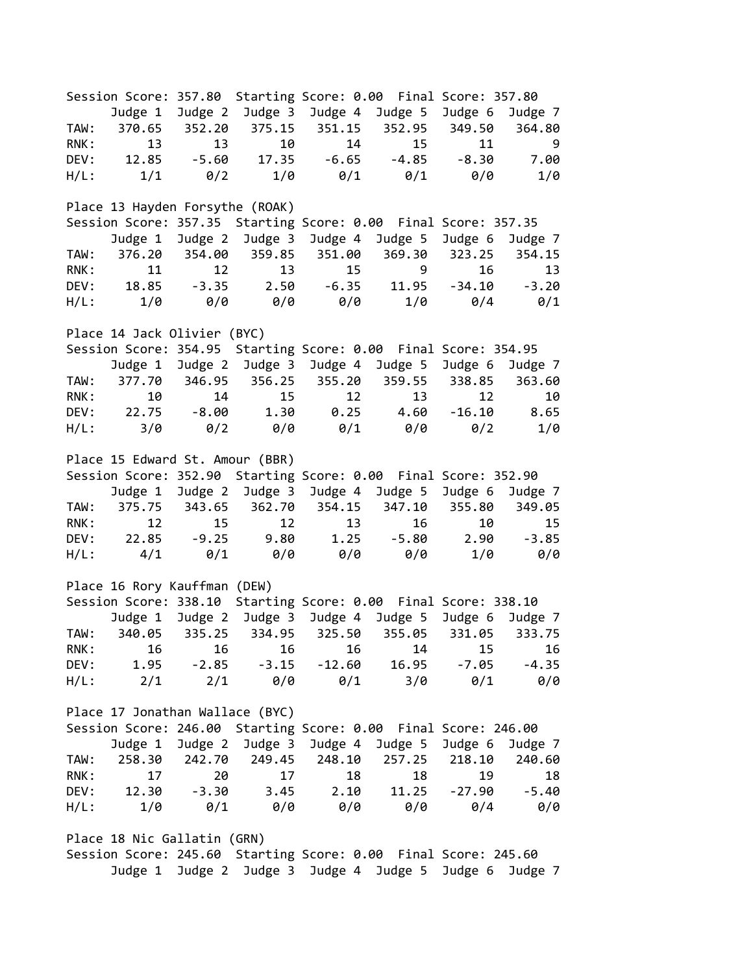Session Score: 357.80 Starting Score: 0.00 Final Score: 357.80 Judge 1 Judge 2 Judge 3 Judge 4 Judge 5 Judge 6 Judge 7 TAW: 370.65 352.20 375.15 351.15 352.95 349.50 364.80 RNK: 13 13 10 14 15 11 9 DEV: 12.85 -5.60 17.35 -6.65 -4.85 -8.30 7.00 H/L: 1/1 0/2 1/0 0/1 0/1 0/0 1/0 Place 13 Hayden Forsythe (ROAK) Session Score: 357.35 Starting Score: 0.00 Final Score: 357.35 Judge 1 Judge 2 Judge 3 Judge 4 Judge 5 Judge 6 Judge 7 TAW: 376.20 354.00 359.85 351.00 369.30 323.25 354.15 RNK: 11 12 13 15 9 16 13 DEV: 18.85 -3.35 2.50 -6.35 11.95 -34.10 -3.20 H/L: 1/0 0/0 0/0 0/0 1/0 0/4 0/1 Place 14 Jack Olivier (BYC) Session Score: 354.95 Starting Score: 0.00 Final Score: 354.95 Judge 1 Judge 2 Judge 3 Judge 4 Judge 5 Judge 6 Judge 7 TAW: 377.70 346.95 356.25 355.20 359.55 338.85 363.60 RNK: 10 14 15 12 13 12 10 DEV: 22.75 -8.00 1.30 0.25 4.60 -16.10 8.65 H/L: 3/0 0/2 0/0 0/1 0/0 0/2 1/0 Place 15 Edward St. Amour (BBR) Session Score: 352.90 Starting Score: 0.00 Final Score: 352.90 Judge 1 Judge 2 Judge 3 Judge 4 Judge 5 Judge 6 Judge 7 TAW: 375.75 343.65 362.70 354.15 347.10 355.80 349.05 RNK: 12 15 12 13 16 10 15 DEV: 22.85 -9.25 9.80 1.25 -5.80 2.90 -3.85 H/L: 4/1 0/1 0/0 0/0 0/0 1/0 0/0 Place 16 Rory Kauffman (DEW) Session Score: 338.10 Starting Score: 0.00 Final Score: 338.10 Judge 1 Judge 2 Judge 3 Judge 4 Judge 5 Judge 6 Judge 7 TAW: 340.05 335.25 334.95 325.50 355.05 331.05 333.75 RNK: 16 16 16 16 14 15 16 DEV: 1.95 -2.85 -3.15 -12.60 16.95 -7.05 -4.35 H/L: 2/1 2/1 0/0 0/1 3/0 0/1 0/0 Place 17 Jonathan Wallace (BYC) Session Score: 246.00 Starting Score: 0.00 Final Score: 246.00 Judge 1 Judge 2 Judge 3 Judge 4 Judge 5 Judge 6 Judge 7 TAW: 258.30 242.70 249.45 248.10 257.25 218.10 240.60 RNK: 17 20 17 18 18 19 18 DEV: 12.30 -3.30 3.45 2.10 11.25 -27.90 -5.40 H/L: 1/0 0/1 0/0 0/0 0/0 0/4 0/0 Place 18 Nic Gallatin (GRN) Session Score: 245.60 Starting Score: 0.00 Final Score: 245.60

Judge 1 Judge 2 Judge 3 Judge 4 Judge 5 Judge 6 Judge 7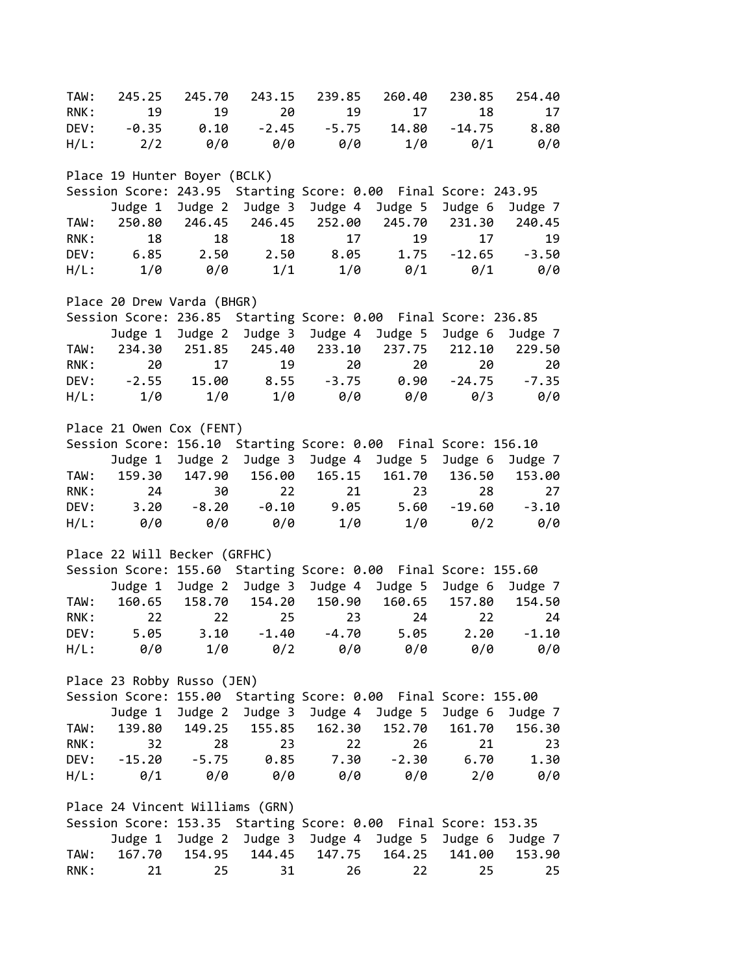TAW: 245.25 245.70 243.15 239.85 260.40 230.85 254.40 RNK: 19 19 20 19 17 18 17 DEV: -0.35 0.10 -2.45 -5.75 14.80 -14.75 8.80 H/L: 2/2 0/0 0/0 0/0 1/0 0/1 0/0 Place 19 Hunter Boyer (BCLK) Session Score: 243.95 Starting Score: 0.00 Final Score: 243.95 Judge 1 Judge 2 Judge 3 Judge 4 Judge 5 Judge 6 Judge 7 TAW: 250.80 246.45 246.45 252.00 245.70 231.30 240.45 RNK: 18 18 18 17 19 17 19 DEV: 6.85 2.50 2.50 8.05 1.75 -12.65 -3.50 H/L: 1/0 0/0 1/1 1/0 0/1 0/1 0/0 Place 20 Drew Varda (BHGR) Session Score: 236.85 Starting Score: 0.00 Final Score: 236.85 Judge 1 Judge 2 Judge 3 Judge 4 Judge 5 Judge 6 Judge 7 TAW: 234.30 251.85 245.40 233.10 237.75 212.10 229.50 RNK: 20 17 19 20 20 20 20 DEV: -2.55 15.00 8.55 -3.75 0.90 -24.75 -7.35 H/L: 1/0 1/0 1/0 0/0 0/0 0/3 0/0 Place 21 Owen Cox (FENT) Session Score: 156.10 Starting Score: 0.00 Final Score: 156.10 Judge 1 Judge 2 Judge 3 Judge 4 Judge 5 Judge 6 Judge 7 TAW: 159.30 147.90 156.00 165.15 161.70 136.50 153.00 RNK: 24 30 22 21 23 28 27 DEV: 3.20 -8.20 -0.10 9.05 5.60 -19.60 -3.10 H/L: 0/0 0/0 0/0 1/0 1/0 0/2 0/0 Place 22 Will Becker (GRFHC) Session Score: 155.60 Starting Score: 0.00 Final Score: 155.60 Judge 1 Judge 2 Judge 3 Judge 4 Judge 5 Judge 6 Judge 7 TAW: 160.65 158.70 154.20 150.90 160.65 157.80 154.50 RNK: 22 22 25 23 24 22 24 DEV: 5.05 3.10 -1.40 -4.70 5.05 2.20 -1.10 H/L: 0/0 1/0 0/2 0/0 0/0 0/0 0/0 Place 23 Robby Russo (JEN) Session Score: 155.00 Starting Score: 0.00 Final Score: 155.00 Judge 1 Judge 2 Judge 3 Judge 4 Judge 5 Judge 6 Judge 7 TAW: 139.80 149.25 155.85 162.30 152.70 161.70 156.30 RNK: 32 28 23 22 26 21 23 DEV: -15.20 -5.75 0.85 7.30 -2.30 6.70 1.30 H/L: 0/1 0/0 0/0 0/0 0/0 2/0 0/0 Place 24 Vincent Williams (GRN) Session Score: 153.35 Starting Score: 0.00 Final Score: 153.35 Judge 1 Judge 2 Judge 3 Judge 4 Judge 5 Judge 6 Judge 7 TAW: 167.70 154.95 144.45 147.75 164.25 141.00 153.90 RNK: 21 25 31 26 22 25 25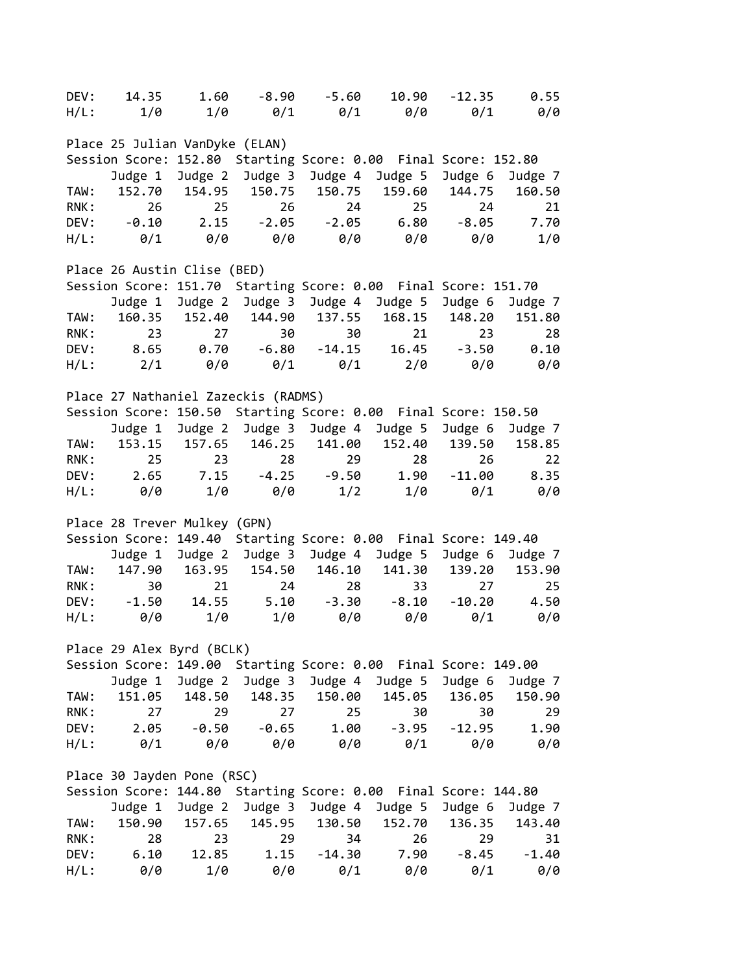| DEV:                                                                                         | 14.35                               | 1.60       | $-8.90$               | $-5.60$                     | 10.90                                                          | $-12.35$   | 0.55          |  |  |
|----------------------------------------------------------------------------------------------|-------------------------------------|------------|-----------------------|-----------------------------|----------------------------------------------------------------|------------|---------------|--|--|
|                                                                                              |                                     |            |                       |                             | H/L: 1/0 1/0 0/1 0/1 0/0                                       |            | $0/1$ $0/0$   |  |  |
|                                                                                              | Place 25 Julian VanDyke (ELAN)      |            |                       |                             |                                                                |            |               |  |  |
|                                                                                              |                                     |            |                       |                             | Session Score: 152.80 Starting Score: 0.00 Final Score: 152.80 |            |               |  |  |
|                                                                                              |                                     |            |                       |                             | Judge 1 Judge 2 Judge 3 Judge 4 Judge 5 Judge 6                |            | Judge 7       |  |  |
| TAW:                                                                                         |                                     |            |                       |                             | 152.70 154.95 150.75 150.75 159.60 144.75                      |            | 160.50        |  |  |
| RNK:                                                                                         | 26                                  | 25         | 26                    | 24                          | 25                                                             | 24         | 21            |  |  |
|                                                                                              |                                     |            |                       |                             |                                                                |            |               |  |  |
|                                                                                              | DEV: -0.10                          |            |                       |                             | $2.15 - 2.05 - 2.05$ 6.80                                      | $-8.05$    | 7.70          |  |  |
| H/L:                                                                                         | $\theta/1$                          |            |                       |                             | 0/0 0/0 0/0 0/0 0/0                                            |            | $1/\theta$    |  |  |
| Place 26 Austin Clise (BED)                                                                  |                                     |            |                       |                             |                                                                |            |               |  |  |
|                                                                                              |                                     |            |                       |                             | Session Score: 151.70 Starting Score: 0.00 Final Score: 151.70 |            |               |  |  |
|                                                                                              |                                     |            |                       |                             | Judge 1 Judge 2 Judge 3 Judge 4 Judge 5                        | Judge 6    | Judge 7       |  |  |
| TAW:                                                                                         |                                     |            |                       |                             | 160.35 152.40 144.90 137.55 168.15                             | 148.20     | 151.80        |  |  |
| RNK:                                                                                         | 23                                  |            | 27                    | 30                          | 30<br>21                                                       | 23         | 28            |  |  |
|                                                                                              |                                     |            |                       |                             | DEV: 8.65 0.70 -6.80 -14.15 16.45 -3.50 0.10                   |            |               |  |  |
|                                                                                              |                                     |            |                       |                             | $H/L:$ 2/1 0/0 0/1 0/1 2/0                                     | 0/0        | 0/0           |  |  |
|                                                                                              | Place 27 Nathaniel Zazeckis (RADMS) |            |                       |                             |                                                                |            |               |  |  |
|                                                                                              |                                     |            |                       |                             | Session Score: 150.50 Starting Score: 0.00 Final Score: 150.50 |            |               |  |  |
|                                                                                              |                                     |            |                       |                             | Judge 1 Judge 2 Judge 3 Judge 4 Judge 5 Judge 6                |            | Judge 7       |  |  |
| TAW:                                                                                         |                                     |            |                       | 153.15 157.65 146.25 141.00 | 152.40                                                         | 139.50     | 158.85        |  |  |
| RNK:                                                                                         | 25                                  |            | 23 and $\sim$         |                             | 28<br>29                                                       | 26         | 22            |  |  |
|                                                                                              |                                     |            |                       |                             |                                                                |            |               |  |  |
| DEV:                                                                                         |                                     |            | $2.65$ $7.15$ $-4.25$ | $-9.50$                     | 1.90                                                           |            | $-11.00$ 8.35 |  |  |
| H/L:                                                                                         | 0/0                                 | 1/0        | 0/0                   |                             | $1/2$ $1/0$ $0/1$                                              |            | 0/0           |  |  |
|                                                                                              | Place 28 Trever Mulkey (GPN)        |            |                       |                             |                                                                |            |               |  |  |
|                                                                                              |                                     |            |                       |                             | Session Score: 149.40 Starting Score: 0.00 Final Score: 149.40 |            |               |  |  |
|                                                                                              | Judge 1                             |            |                       |                             | Judge 2 Judge 3 Judge 4 Judge 5                                | Judge 6    | Judge 7       |  |  |
| TAW:                                                                                         | 147.90                              |            |                       |                             | 163.95 154.50 146.10 141.30                                    | 139.20     | 153.90        |  |  |
| RNK:                                                                                         |                                     | 30 30      | 21                    | 24                          |                                                                | 27         | 25            |  |  |
|                                                                                              | DEV: -1.50 14.55 5.10               |            |                       | $-3.30$                     | $-8.10$                                                        |            | $-10.20$ 4.50 |  |  |
| $H/L$ :                                                                                      | 0/0                                 | 1/0        | $1/\theta$            | 0/0                         | 0/0                                                            | $\theta/1$ | 0/0           |  |  |
|                                                                                              | Place 29 Alex Byrd (BCLK)           |            |                       |                             |                                                                |            |               |  |  |
|                                                                                              |                                     |            |                       |                             | Session Score: 149.00 Starting Score: 0.00 Final Score: 149.00 |            |               |  |  |
|                                                                                              | Judge 1                             | Judge 2    |                       | Judge 3 Judge 4             | Judge 5                                                        | Judge 6    | Judge 7       |  |  |
| TAW:                                                                                         |                                     |            |                       | 151.05 148.50 148.35 150.00 | 145.05                                                         | 136.05     | 150.90        |  |  |
| RNK:                                                                                         | 27                                  | 29         | 27                    | 25                          | 30                                                             | 30         | 29            |  |  |
| DEV:                                                                                         | 2.05                                |            | $-0.50 - 0.65$        | 1.00                        | $-3.95$                                                        | $-12.95$   | 1.90          |  |  |
| H/L:                                                                                         | $\theta/1$                          | 0/0        | 0/0                   | 0/0                         | 0/1                                                            | 0/0        | 0/0           |  |  |
|                                                                                              |                                     |            |                       |                             |                                                                |            |               |  |  |
| Place 30 Jayden Pone (RSC)<br>Session Score: 144.80 Starting Score: 0.00 Final Score: 144.80 |                                     |            |                       |                             |                                                                |            |               |  |  |
|                                                                                              |                                     |            |                       |                             |                                                                |            |               |  |  |
|                                                                                              | Judge 1                             |            | Judge 2 Judge 3       | Judge 4                     | Judge 5                                                        | Judge 6    | Judge 7       |  |  |
| TAW:                                                                                         | 150.90                              | 157.65     | 145.95                | 130.50                      | 152.70                                                         | 136.35     | 143.40        |  |  |
| RNK:                                                                                         | 28                                  | 23         | 29                    | 34                          | 26                                                             | 29         | 31            |  |  |
| DEV:                                                                                         | 6.10                                | 12.85      | 1.15                  | $-14.30$                    | 7.90                                                           | $-8.45$    | $-1.40$       |  |  |
| $H/L$ :                                                                                      | 0/0                                 | $1/\theta$ | 0/0                   | 0/1                         | 0/0                                                            | 0/1        | 0/0           |  |  |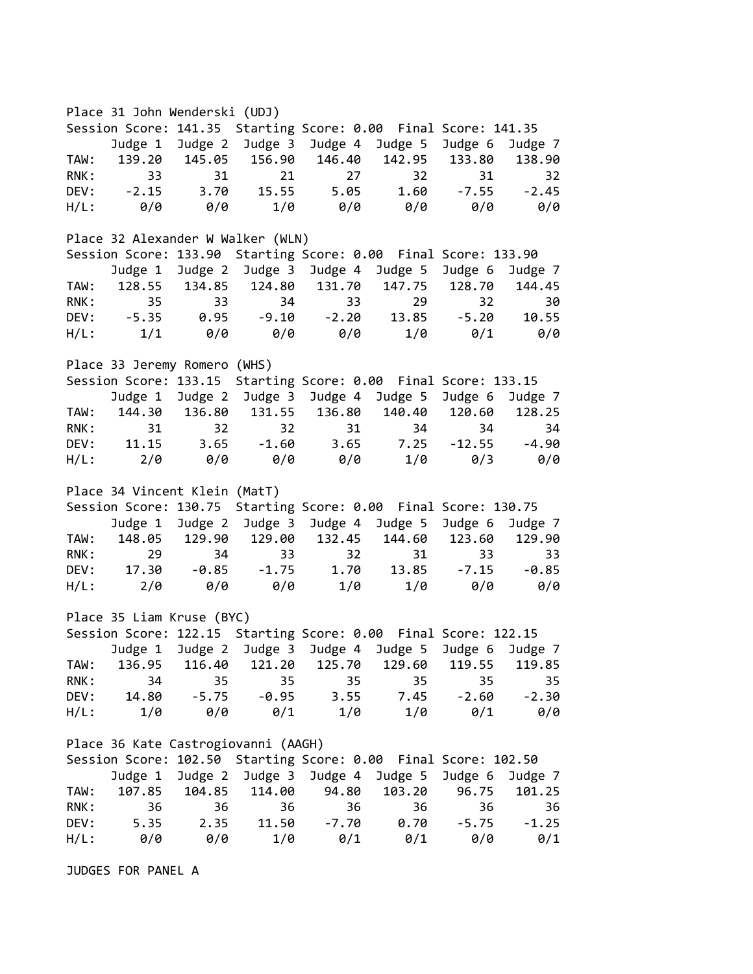Place 31 John Wenderski (UDJ) Session Score: 141.35 Starting Score: 0.00 Final Score: 141.35 Judge 1 Judge 2 Judge 3 Judge 4 Judge 5 Judge 6 Judge 7 TAW: 139.20 145.05 156.90 146.40 142.95 133.80 138.90 RNK: 33 31 21 27 32 31 32 DEV: -2.15 3.70 15.55 5.05 1.60 -7.55 -2.45 H/L: 0/0 0/0 1/0 0/0 0/0 0/0 0/0 Place 32 Alexander W Walker (WLN) Session Score: 133.90 Starting Score: 0.00 Final Score: 133.90 Judge 1 Judge 2 Judge 3 Judge 4 Judge 5 Judge 6 Judge 7 TAW: 128.55 134.85 124.80 131.70 147.75 128.70 144.45 RNK: 35 33 34 33 29 32 30 DEV: -5.35 0.95 -9.10 -2.20 13.85 -5.20 10.55 H/L: 1/1 0/0 0/0 0/0 1/0 0/1 0/0 Place 33 Jeremy Romero (WHS) Session Score: 133.15 Starting Score: 0.00 Final Score: 133.15 Judge 1 Judge 2 Judge 3 Judge 4 Judge 5 Judge 6 Judge 7 TAW: 144.30 136.80 131.55 136.80 140.40 120.60 128.25 RNK: 31 32 32 31 34 34 34 DEV: 11.15 3.65 -1.60 3.65 7.25 -12.55 -4.90 H/L: 2/0 0/0 0/0 0/0 1/0 0/3 0/0 Place 34 Vincent Klein (MatT) Session Score: 130.75 Starting Score: 0.00 Final Score: 130.75 Judge 1 Judge 2 Judge 3 Judge 4 Judge 5 Judge 6 Judge 7 TAW: 148.05 129.90 129.00 132.45 144.60 123.60 129.90 RNK: 29 34 33 32 31 33 33 DEV: 17.30 -0.85 -1.75 1.70 13.85 -7.15 -0.85 H/L: 2/0 0/0 0/0 1/0 1/0 0/0 0/0 Place 35 Liam Kruse (BYC) Session Score: 122.15 Starting Score: 0.00 Final Score: 122.15 Judge 1 Judge 2 Judge 3 Judge 4 Judge 5 Judge 6 Judge 7 TAW: 136.95 116.40 121.20 125.70 129.60 119.55 119.85 RNK: 34 35 35 35 35 35 35 DEV: 14.80 -5.75 -0.95 3.55 7.45 -2.60 -2.30 H/L: 1/0 0/0 0/1 1/0 1/0 0/1 0/0 Place 36 Kate Castrogiovanni (AAGH) Session Score: 102.50 Starting Score: 0.00 Final Score: 102.50 Judge 1 Judge 2 Judge 3 Judge 4 Judge 5 Judge 6 Judge 7 TAW: 107.85 104.85 114.00 94.80 103.20 96.75 101.25 RNK: 36 36 36 36 36 36 36 DEV: 5.35 2.35 11.50 -7.70 0.70 -5.75 -1.25 H/L: 0/0 0/0 1/0 0/1 0/1 0/0 0/1

JUDGES FOR PANEL A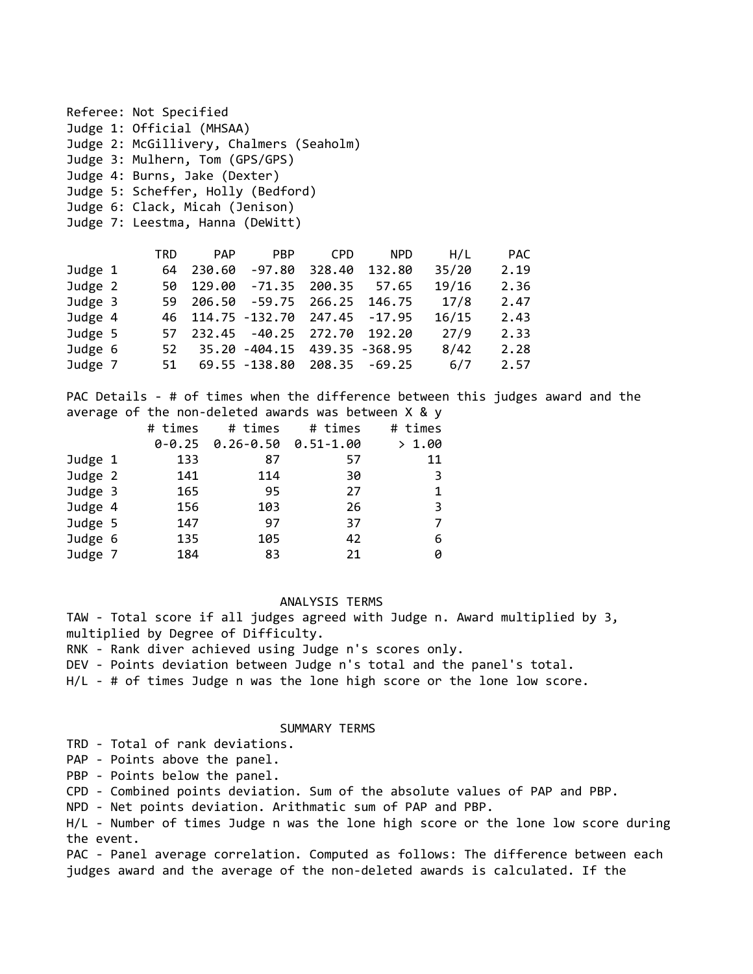|         | Referee: Not Specified                   |            |                      |                       |            |       |            |  |
|---------|------------------------------------------|------------|----------------------|-----------------------|------------|-------|------------|--|
|         | Judge 1: Official (MHSAA)                |            |                      |                       |            |       |            |  |
|         | Judge 2: McGillivery, Chalmers (Seaholm) |            |                      |                       |            |       |            |  |
|         | Judge 3: Mulhern, Tom (GPS/GPS)          |            |                      |                       |            |       |            |  |
|         | Judge 4: Burns, Jake (Dexter)            |            |                      |                       |            |       |            |  |
|         | Judge 5: Scheffer, Holly (Bedford)       |            |                      |                       |            |       |            |  |
|         | Judge 6: Clack, Micah (Jenison)          |            |                      |                       |            |       |            |  |
|         | Judge 7: Leestma, Hanna (DeWitt)         |            |                      |                       |            |       |            |  |
|         |                                          |            |                      |                       |            |       |            |  |
|         | TRD                                      | <b>PAP</b> | <b>PBP</b>           | <b>CPD</b>            | <b>NPD</b> | H/L   | <b>PAC</b> |  |
| Judge 1 | 64                                       |            | 230.60 -97.80        | 328.40                | 132.80     | 35/20 | 2.19       |  |
| Judge 2 | 50                                       | 129.00     |                      | $-71.35$ 200.35 57.65 |            | 19/16 | 2.36       |  |
| Judge 3 | 59                                       |            | 206.50 -59.75 266.25 |                       | 146.75     | 17/8  | 2.47       |  |
| Judge 4 | 46                                       |            | 114.75 -132.70       | 247.45                | $-17.95$   | 16/15 | 2.43       |  |
| Judge 5 |                                          | 57 232.45  | $-40.25$             | 272.70                | 192.20     | 27/9  | 2.33       |  |

| Juage 5 |  |                                |  | 57 232.45 -40.25 272.70 192.20 2779 2.33 |      |
|---------|--|--------------------------------|--|------------------------------------------|------|
| Judge 6 |  |                                |  |                                          | 2.28 |
| Judge 7 |  | 51 69.55 -138.80 208.35 -69.25 |  | 6/7                                      | 2.57 |

PAC Details - # of times when the difference between this judges award and the average of the non-deleted awards was between X & y

|         | # times | # times                          | # times | # times |
|---------|---------|----------------------------------|---------|---------|
|         |         | $0-0.25$ $0.26-0.50$ $0.51-1.00$ |         | > 1.00  |
| Judge 1 | 133     | 87                               | 57      | 11      |
| Judge 2 | 141     | 114                              | 30      | 3       |
| Judge 3 | 165     | 95                               | 27      | 1       |
| Judge 4 | 156     | 103                              | 26      | 3       |
| Judge 5 | 147     | 97                               | 37      | 7       |
| Judge 6 | 135     | 105                              | 42      | 6       |
| Judge 7 | 184     | 83                               | 21      | 0       |

## ANALYSIS TERMS

TAW - Total score if all judges agreed with Judge n. Award multiplied by 3, multiplied by Degree of Difficulty.

RNK - Rank diver achieved using Judge n's scores only.

DEV - Points deviation between Judge n's total and the panel's total.

H/L - # of times Judge n was the lone high score or the lone low score.

## SUMMARY TERMS

TRD - Total of rank deviations.

PAP - Points above the panel.

PBP - Points below the panel.

CPD - Combined points deviation. Sum of the absolute values of PAP and PBP.

NPD - Net points deviation. Arithmatic sum of PAP and PBP.

H/L - Number of times Judge n was the lone high score or the lone low score during the event.

PAC - Panel average correlation. Computed as follows: The difference between each judges award and the average of the non-deleted awards is calculated. If the